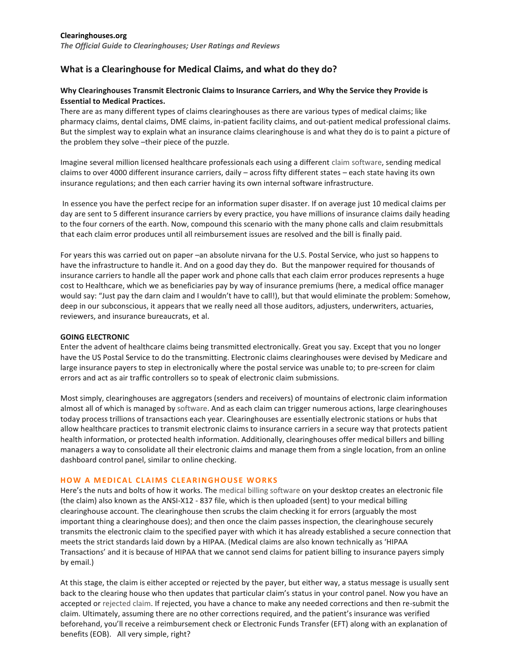# **What is a Clearinghouse for Medical Claims, and what do they do?**

### **Why Clearinghouses Transmit Electronic Claims to Insurance Carriers, and Why the Service they Provide is Essential to Medical Practices.**

There are as many different types of claims clearinghouses as there are various types of medical claims; like pharmacy claims, dental claims, DME claims, in-patient facility claims, and out-patient medical professional claims. But the simplest way to explain what an insurance claims clearinghouse is and what they do is to paint a picture of the problem they solve –their piece of the puzzle.

Imagine several million licensed healthcare professionals each using a different [claim software,](http://www.clearinghouses.org/free-medical-claims-software-with-integrated-edi-for-electronic-billing-and-practice-management/) sending medical claims to over 4000 different insurance carriers, daily – across fifty different states – each state having its own insurance regulations; and then each carrier having its own internal software infrastructure.

In essence you have the perfect recipe for an information super disaster. If on average just 10 medical claims per day are sent to 5 different insurance carriers by every practice, you have millions of insurance claims daily heading to the four corners of the earth. Now, compound this scenario with the many phone calls and claim resubmittals that each claim error produces until all reimbursement issues are resolved and the bill is finally paid.

For years this was carried out on paper –an absolute nirvana for the U.S. Postal Service, who just so happens to have the infrastructure to handle it. And on a good day they do. But the manpower required for thousands of insurance carriers to handle all the paper work and phone calls that each claim error produces represents a huge cost to Healthcare, which we as beneficiaries pay by way of insurance premiums (here, a medical office manager would say: "Just pay the darn claim and I wouldn't have to call!), but that would eliminate the problem: Somehow, deep in our subconscious, it appears that we really need all those auditors, adjusters, underwriters, actuaries, reviewers, and insurance bureaucrats, et al.

#### **GOING ELECTRONIC**

Enter the advent of healthcare claims being transmitted electronically. Great you say. Except that you no longer have the US Postal Service to do the transmitting. Electronic claims clearinghouses were devised by Medicare and large insurance payers to step in electronically where the postal service was unable to; to pre-screen for claim errors and act as air traffic controllers so to speak of electronic claim submissions.

Most simply, clearinghouses are aggregators (senders and receivers) of mountains of electronic claim information almost all of which is managed by [software.](http://www.clearinghouses.org/practice-management-software/) And as each claim can trigger numerous actions, large clearinghouses today process trillions of transactions each year. Clearinghouses are essentially electronic stations or hubs that allow healthcare practices to transmit electronic claims to insurance carriers in a secure way that protects patient health information, or protected health information. Additionally, clearinghouses offer medical billers and billing managers a way to consolidate all their electronic claims and manage them from a single location, from an online dashboard control panel, similar to online checking.

#### **HOW A MEDICAL CLAIMS CLEARINGHOUSE WORKS**

Here's the nuts and bolts of how it works. The [medical billing software](http://www.clearinghouses.org/free-medical-claims-software-with-integrated-edi-for-electronic-billing-and-practice-management/) on your desktop creates an electronic file (the claim) also known as the ANSI-X12 - 837 file, which is then uploaded (sent) to your medical billing clearinghouse account. The clearinghouse then scrubs the claim checking it for errors (arguably the most important thing a clearinghouse does); and then once the claim passes inspection, the clearinghouse securely transmits the electronic claim to the specified payer with which it has already established a secure connection that meets the strict standards laid down by a HIPAA. (Medical claims are also known technically as 'HIPAA Transactions' and it is because of HIPAA that we cannot send claims for patient billing to insurance payers simply by email.)

At this stage, the claim is either accepted or rejected by the payer, but either way, a status message is usually sent back to the clearing house who then updates that particular claim's status in your control panel. Now you have an accepted or [rejected claim.](http://www.clearinghouses.org/medical-claims-mgmt/) If rejected, you have a chance to make any needed corrections and then re-submit the claim. Ultimately, assuming there are no other corrections required, and the patient's insurance was verified beforehand, you'll receive a reimbursement check or Electronic Funds Transfer (EFT) along with an explanation of benefits (EOB). All very simple, right?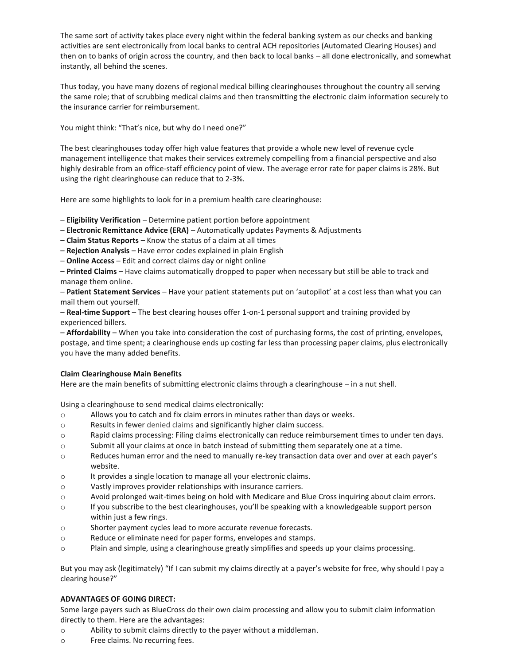The same sort of activity takes place every night within the federal banking system as our checks and banking activities are sent electronically from local banks to central ACH repositories (Automated Clearing Houses) and then on to banks of origin across the country, and then back to local banks – all done electronically, and somewhat instantly, all behind the scenes.

Thus today, you have many dozens of regional medical billing clearinghouses throughout the country all serving the same role; that of scrubbing medical claims and then transmitting the electronic claim information securely to the insurance carrier for reimbursement.

You might think: "That's nice, but why do I need one?"

The best clearinghouses today offer high value features that provide a whole new level of revenue cycle management intelligence that makes their services extremely compelling from a financial perspective and also highly desirable from an office-staff efficiency point of view. The average error rate for paper claims is 28%. But using the right clearinghouse can reduce that to 2-3%.

Here are some highlights to look for in a premium health care clearinghouse:

– **Eligibility Verification** – Determine patient portion before appointment

- **Electronic Remittance Advice (ERA)**  Automatically updates Payments & Adjustments
- **Claim Status Reports** Know the status of a claim at all times
- **Rejection Analysis** Have error codes explained in plain English
- **Online Access** Edit and correct claims day or night online

– **Printed Claims** – Have claims automatically dropped to paper when necessary but still be able to track and manage them online.

– **Patient Statement Services** – Have your patient statements put on 'autopilot' at a cost less than what you can mail them out yourself.

– **Real-time Support** – The best clearing houses offer 1-on-1 personal support and training provided by experienced billers.

– **Affordability** – When you take into consideration the cost of purchasing forms, the cost of printing, envelopes, postage, and time spent; a clearinghouse ends up costing far less than processing paper claims, plus electronically you have the many added benefits.

### **Claim Clearinghouse Main Benefits**

Here are the main benefits of submitting electronic claims through a clearinghouse – in a nut shell.

Using a clearinghouse to send medical claims electronically:

- o Allows you to catch and fix claim errors in minutes rather than days or weeks.
- o Results in fewer [denied claims](http://www.clearinghouses.org/medical-claims-mgmt/) and significantly higher claim success.
- o Rapid claims processing: Filing claims electronically can reduce reimbursement times to under ten days.
- o Submit all your claims at once in batch instead of submitting them separately one at a time.
- o Reduces human error and the need to manually re-key transaction data over and over at each payer's website.
- o It provides a single location to manage all your electronic claims.
- o Vastly improves provider relationships with insurance carriers.
- o Avoid prolonged wait-times being on hold with Medicare and Blue Cross inquiring about claim errors.
- o If you subscribe to the best clearinghouses, you'll be speaking with a knowledgeable support person within just a few rings.
- o Shorter payment cycles lead to more accurate revenue forecasts.
- o Reduce or eliminate need for paper forms, envelopes and stamps.
- o Plain and simple, using a clearinghouse greatly simplifies and speeds up your claims processing.

But you may ask (legitimately) "If I can submit my claims directly at a payer's website for free, why should I pay a clearing house?"

### **ADVANTAGES OF GOING DIRECT:**

Some large payers such as BlueCross do their own claim processing and allow you to submit claim information directly to them. Here are the advantages:

- o Ability to submit claims directly to the payer without a middleman.
- o Free claims. No recurring fees.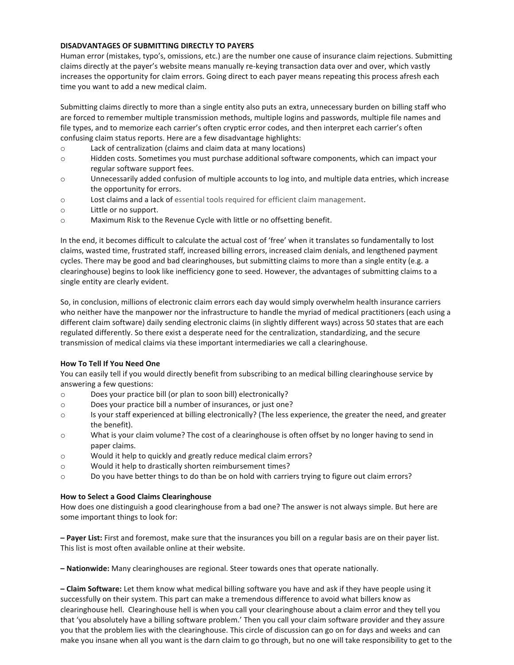### **DISADVANTAGES OF SUBMITTING DIRECTLY TO PAYERS**

Human error (mistakes, typo's, omissions, etc.) are the number one cause of insurance claim rejections. Submitting claims directly at the payer's website means manually re-keying transaction data over and over, which vastly increases the opportunity for claim errors. Going direct to each payer means repeating this process afresh each time you want to add a new medical claim.

Submitting claims directly to more than a single entity also puts an extra, unnecessary burden on billing staff who are forced to remember multiple transmission methods, multiple logins and passwords, multiple file names and file types, and to memorize each carrier's often cryptic error codes, and then interpret each carrier's often confusing claim status reports. Here are a few disadvantage highlights:

- o Lack of centralization (claims and claim data at many locations)
- o Hidden costs. Sometimes you must purchase additional software components, which can impact your regular software support fees.
- o Unnecessarily added confusion of multiple accounts to log into, and multiple data entries, which increase the opportunity for errors.
- o Lost claims and a lack of [essential tools required for efficient claim management.](http://www.clearinghouses.org/practice-management-software/)
- o Little or no support.
- o Maximum Risk to the Revenue Cycle with little or no offsetting benefit.

In the end, it becomes difficult to calculate the actual cost of 'free' when it translates so fundamentally to lost claims, wasted time, frustrated staff, increased billing errors, increased claim denials, and lengthened payment cycles. There may be good and bad clearinghouses, but submitting claims to more than a single entity (e.g. a clearinghouse) begins to look like inefficiency gone to seed. However, the advantages of submitting claims to a single entity are clearly evident.

So, in conclusion, millions of electronic claim errors each day would simply overwhelm health insurance carriers who neither have the manpower nor the infrastructure to handle the myriad of medical practitioners (each using a different claim software) daily sending electronic claims (in slightly different ways) across 50 states that are each regulated differently. So there exist a desperate need for the centralization, standardizing, and the secure transmission of medical claims via these important intermediaries we call a clearinghouse.

### **How To Tell If You Need One**

You can easily tell if you would directly benefit from subscribing to an medical billing clearinghouse service by answering a few questions:

- o Does your practice bill (or plan to soon bill) electronically?
- o Does your practice bill a number of insurances, or just one?
- o Is your staff experienced at billing electronically? (The less experience, the greater the need, and greater the benefit).
- o What is your claim volume? The cost of a clearinghouse is often offset by no longer having to send in paper claims.
- o Would it help to quickly and greatly reduce medical claim errors?
- o Would it help to drastically shorten reimbursement times?
- o Do you have better things to do than be on hold with carriers trying to figure out claim errors?

## **How to Select a Good Claims Clearinghouse**

How does one distinguish a good clearinghouse from a bad one? The answer is not always simple. But here are some important things to look for:

**– Payer List:** First and foremost, make sure that the insurances you bill on a regular basis are on their payer list. This list is most often available online at their website.

**– Nationwide:** Many clearinghouses are regional. Steer towards ones that operate nationally.

**– Claim Software:** Let them know what medical billing software you have and ask if they have people using it successfully on their system. This part can make a tremendous difference to avoid what billers know as clearinghouse hell. Clearinghouse hell is when you call your clearinghouse about a claim error and they tell you that 'you absolutely have a billing software problem.' Then you call your claim software provider and they assure you that the problem lies with the clearinghouse. This circle of discussion can go on for days and weeks and can make you insane when all you want is the darn claim to go through, but no one will take responsibility to get to the